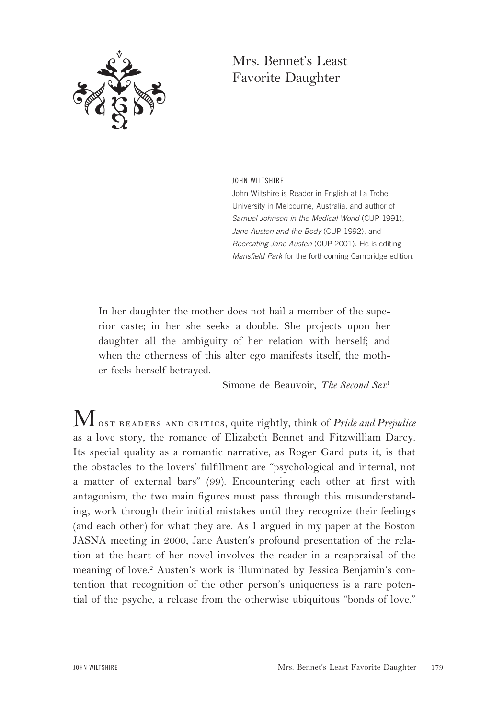

## Mrs. Bennet's Least Favorite Daughter

JOHN WILTSHIRE

John Wiltshire is Reader in English at La Trobe University in Melbourne, Australia, and author of *Samuel Johnson in the Medical World* (CUP 1991), *Jane Austen and the Body* (CUP 1992), and *Recreating Jane Austen* (CUP 2001). He is editing *Mansfield Park* for the forthcoming Cambridge edition.

In her daughter the mother does not hail a member of the superior caste; in her she seeks a double. She projects upon her daughter all the ambiguity of her relation with herself; and when the otherness of this alter ego manifests itself, the mother feels herself betrayed.

Simone de Beauvoir, *The Second Sex*1

 $M$  ost readers and critics, quite rightly, think of *Pride and Prejudice* as a love story, the romance of Elizabeth Bennet and Fitzwilliam Darcy. Its special quality as a romantic narrative, as Roger Gard puts it, is that the obstacles to the lovers' fulfillment are "psychological and internal, not a matter of external bars" (99). Encountering each other at first with antagonism, the two main figures must pass through this misunderstanding, work through their initial mistakes until they recognize their feelings (and each other) for what they are. As I argued in my paper at the Boston JASNA meeting in 2000, Jane Austen's profound presentation of the relation at the heart of her novel involves the reader in a reappraisal of the meaning of love.2 Austen's work is illuminated by Jessica Benjamin's contention that recognition of the other person's uniqueness is a rare potential of the psyche, a release from the otherwise ubiquitous "bonds of love."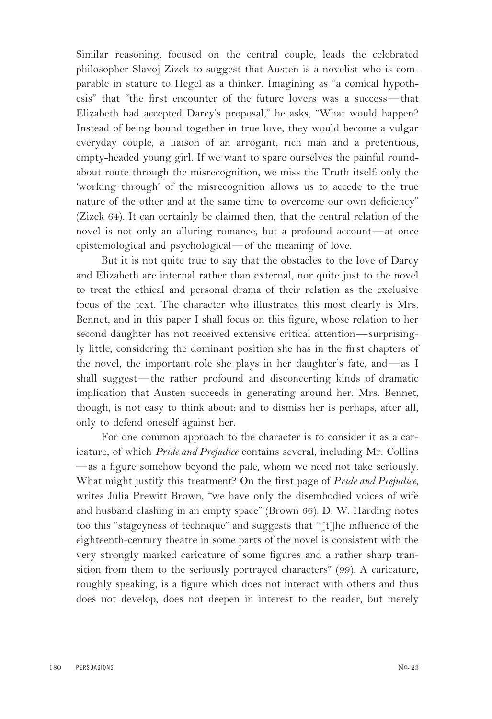Similar reasoning, focused on the central couple, leads the celebrated philosopher Slavoj Zizek to suggest that Austen is a novelist who is comparable in stature to Hegel as a thinker. Imagining as "a comical hypothesis" that "the first encounter of the future lovers was a success—that Elizabeth had accepted Darcy's proposal," he asks, "What would happen? Instead of being bound together in true love, they would become a vulgar everyday couple, a liaison of an arrogant, rich man and a pretentious, empty-headed young girl. If we want to spare ourselves the painful roundabout route through the misrecognition, we miss the Truth itself: only the 'working through' of the misrecognition allows us to accede to the true nature of the other and at the same time to overcome our own deficiency" (Zizek 64). It can certainly be claimed then, that the central relation of the novel is not only an alluring romance, but a profound account—at once epistemological and psychological—of the meaning of love.

But it is not quite true to say that the obstacles to the love of Darcy and Elizabeth are internal rather than external, nor quite just to the novel to treat the ethical and personal drama of their relation as the exclusive focus of the text. The character who illustrates this most clearly is Mrs. Bennet, and in this paper I shall focus on this figure, whose relation to her second daughter has not received extensive critical attention—surprisingly little, considering the dominant position she has in the first chapters of the novel, the important role she plays in her daughter's fate, and—as I shall suggest—the rather profound and disconcerting kinds of dramatic implication that Austen succeeds in generating around her. Mrs. Bennet, though, is not easy to think about: and to dismiss her is perhaps, after all, only to defend oneself against her.

For one common approach to the character is to consider it as a caricature, of which *Pride and Prejudice* contains several, including Mr. Collins —as a figure somehow beyond the pale, whom we need not take seriously. What might justify this treatment? On the first page of *Pride and Prejudice*, writes Julia Prewitt Brown, "we have only the disembodied voices of wife and husband clashing in an empty space" (Brown 66). D. W. Harding notes too this "stageyness of technique" and suggests that "[t]he influence of the eighteenth-century theatre in some parts of the novel is consistent with the very strongly marked caricature of some figures and a rather sharp transition from them to the seriously portrayed characters" (99). A caricature, roughly speaking, is a figure which does not interact with others and thus does not develop, does not deepen in interest to the reader, but merely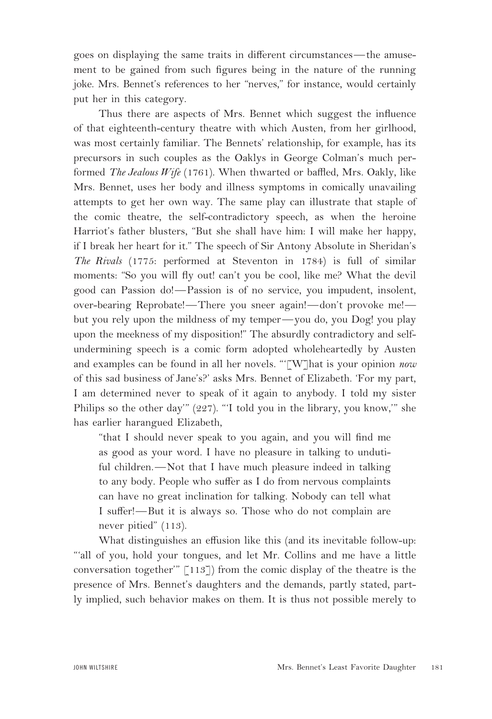goes on displaying the same traits in different circumstances—the amusement to be gained from such figures being in the nature of the running joke. Mrs. Bennet's references to her "nerves," for instance, would certainly put her in this category.

Thus there are aspects of Mrs. Bennet which suggest the influence of that eighteenth-century theatre with which Austen, from her girlhood, was most certainly familiar. The Bennets' relationship, for example, has its precursors in such couples as the Oaklys in George Colman's much performed *The Jealous Wife* (1761). When thwarted or baffled, Mrs. Oakly, like Mrs. Bennet, uses her body and illness symptoms in comically unavailing attempts to get her own way. The same play can illustrate that staple of the comic theatre, the self-contradictory speech, as when the heroine Harriot's father blusters, "But she shall have him: I will make her happy, if I break her heart for it." The speech of Sir Antony Absolute in Sheridan's *The Rivals* (1775: performed at Steventon in 1784) is full of similar moments: "So you will fly out! can't you be cool, like me? What the devil good can Passion do!—Passion is of no service, you impudent, insolent, over-bearing Reprobate!—There you sneer again!—don't provoke me! but you rely upon the mildness of my temper—you do, you Dog! you play upon the meekness of my disposition!" The absurdly contradictory and selfundermining speech is a comic form adopted wholeheartedly by Austen and examples can be found in all her novels. "'[W]hat is your opinion *now* of this sad business of Jane's?' asks Mrs. Bennet of Elizabeth. 'For my part, I am determined never to speak of it again to anybody. I told my sister Philips so the other day'" (227). "'I told you in the library, you know,'" she has earlier harangued Elizabeth,

"that I should never speak to you again, and you will find me as good as your word. I have no pleasure in talking to undutiful children.—Not that I have much pleasure indeed in talking to any body. People who suffer as I do from nervous complaints can have no great inclination for talking. Nobody can tell what I suffer!—But it is always so. Those who do not complain are never pitied" (113).

What distinguishes an effusion like this (and its inevitable follow-up: "'all of you, hold your tongues, and let Mr. Collins and me have a little conversation together'"  $\lceil 113 \rceil$ ) from the comic display of the theatre is the presence of Mrs. Bennet's daughters and the demands, partly stated, partly implied, such behavior makes on them. It is thus not possible merely to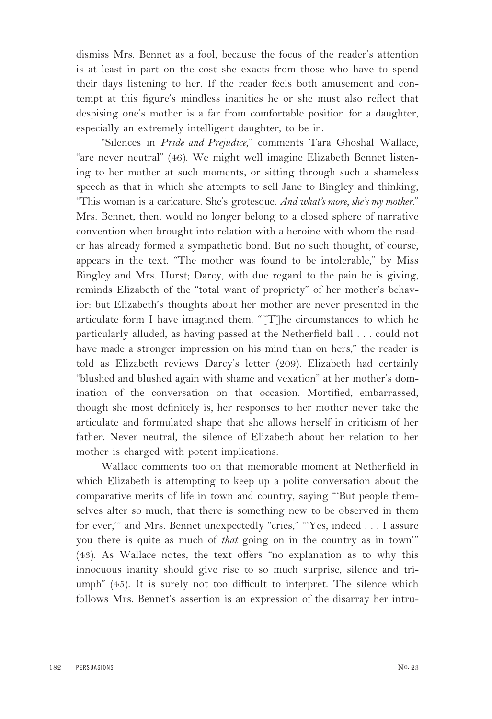dismiss Mrs. Bennet as a fool, because the focus of the reader's attention is at least in part on the cost she exacts from those who have to spend their days listening to her. If the reader feels both amusement and contempt at this figure's mindless inanities he or she must also reflect that despising one's mother is a far from comfortable position for a daughter, especially an extremely intelligent daughter, to be in.

"Silences in *Pride and Prejudice*," comments Tara Ghoshal Wallace, "are never neutral" (46). We might well imagine Elizabeth Bennet listening to her mother at such moments, or sitting through such a shameless speech as that in which she attempts to sell Jane to Bingley and thinking, "This woman is a caricature. She's grotesque. *And what's more, she's my mother*." Mrs. Bennet, then, would no longer belong to a closed sphere of narrative convention when brought into relation with a heroine with whom the reader has already formed a sympathetic bond. But no such thought, of course, appears in the text. "The mother was found to be intolerable," by Miss Bingley and Mrs. Hurst; Darcy, with due regard to the pain he is giving, reminds Elizabeth of the "total want of propriety" of her mother's behavior: but Elizabeth's thoughts about her mother are never presented in the articulate form I have imagined them. "[T]he circumstances to which he particularly alluded, as having passed at the Netherfield ball . . . could not have made a stronger impression on his mind than on hers," the reader is told as Elizabeth reviews Darcy's letter (209). Elizabeth had certainly "blushed and blushed again with shame and vexation" at her mother's domination of the conversation on that occasion. Mortified, embarrassed, though she most definitely is, her responses to her mother never take the articulate and formulated shape that she allows herself in criticism of her father. Never neutral, the silence of Elizabeth about her relation to her mother is charged with potent implications.

Wallace comments too on that memorable moment at Netherfield in which Elizabeth is attempting to keep up a polite conversation about the comparative merits of life in town and country, saying "'But people themselves alter so much, that there is something new to be observed in them for ever,'" and Mrs. Bennet unexpectedly "cries," "'Yes, indeed . . . I assure you there is quite as much of *that* going on in the country as in town'" (43). As Wallace notes, the text offers "no explanation as to why this innocuous inanity should give rise to so much surprise, silence and triumph" (45). It is surely not too difficult to interpret. The silence which follows Mrs. Bennet's assertion is an expression of the disarray her intru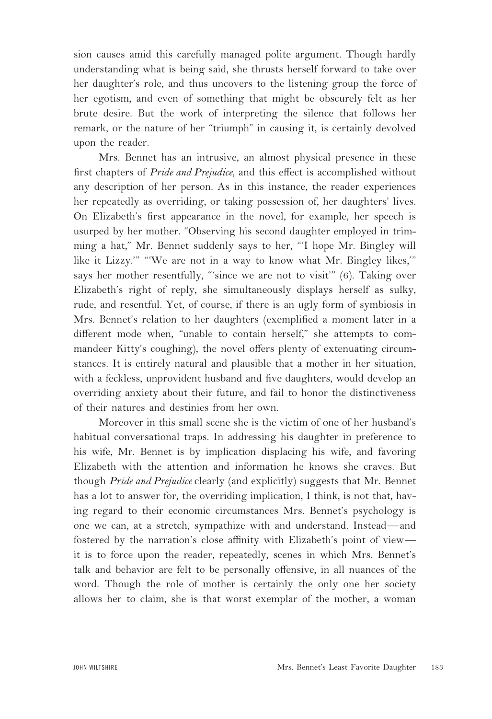sion causes amid this carefully managed polite argument. Though hardly understanding what is being said, she thrusts herself forward to take over her daughter's role, and thus uncovers to the listening group the force of her egotism, and even of something that might be obscurely felt as her brute desire. But the work of interpreting the silence that follows her remark, or the nature of her "triumph" in causing it, is certainly devolved upon the reader.

Mrs. Bennet has an intrusive, an almost physical presence in these first chapters of *Pride and Prejudice*, and this effect is accomplished without any description of her person. As in this instance, the reader experiences her repeatedly as overriding, or taking possession of, her daughters' lives. On Elizabeth's first appearance in the novel, for example, her speech is usurped by her mother. "Observing his second daughter employed in trimming a hat," Mr. Bennet suddenly says to her, "'I hope Mr. Bingley will like it Lizzy.'" "'We are not in a way to know what Mr. Bingley likes,'" says her mother resentfully, "'since we are not to visit'" (6). Taking over Elizabeth's right of reply, she simultaneously displays herself as sulky, rude, and resentful. Yet, of course, if there is an ugly form of symbiosis in Mrs. Bennet's relation to her daughters (exemplified a moment later in a different mode when, "unable to contain herself," she attempts to commandeer Kitty's coughing), the novel offers plenty of extenuating circumstances. It is entirely natural and plausible that a mother in her situation, with a feckless, unprovident husband and five daughters, would develop an overriding anxiety about their future, and fail to honor the distinctiveness of their natures and destinies from her own.

Moreover in this small scene she is the victim of one of her husband's habitual conversational traps. In addressing his daughter in preference to his wife, Mr. Bennet is by implication displacing his wife, and favoring Elizabeth with the attention and information he knows she craves. But though *Pride and Prejudice* clearly (and explicitly) suggests that Mr. Bennet has a lot to answer for, the overriding implication, I think, is not that, having regard to their economic circumstances Mrs. Bennet's psychology is one we can, at a stretch, sympathize with and understand. Instead—and fostered by the narration's close affinity with Elizabeth's point of view it is to force upon the reader, repeatedly, scenes in which Mrs. Bennet's talk and behavior are felt to be personally offensive, in all nuances of the word. Though the role of mother is certainly the only one her society allows her to claim, she is that worst exemplar of the mother, a woman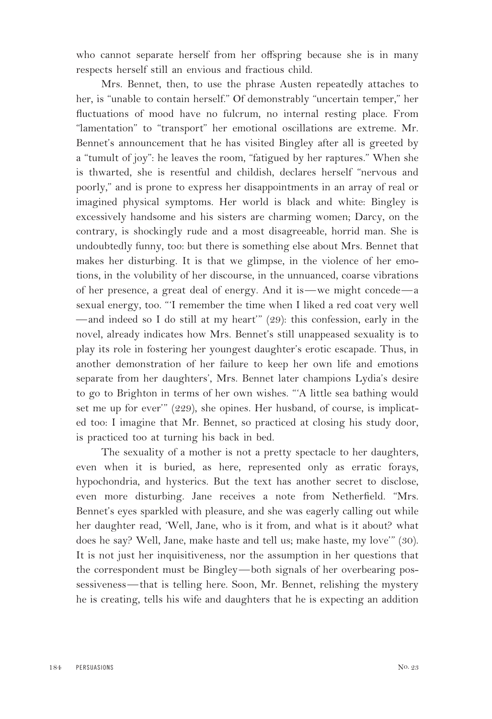who cannot separate herself from her offspring because she is in many respects herself still an envious and fractious child.

Mrs. Bennet, then, to use the phrase Austen repeatedly attaches to her, is "unable to contain herself." Of demonstrably "uncertain temper," her fluctuations of mood have no fulcrum, no internal resting place. From "lamentation" to "transport" her emotional oscillations are extreme. Mr. Bennet's announcement that he has visited Bingley after all is greeted by a "tumult of joy": he leaves the room, "fatigued by her raptures." When she is thwarted, she is resentful and childish, declares herself "nervous and poorly," and is prone to express her disappointments in an array of real or imagined physical symptoms. Her world is black and white: Bingley is excessively handsome and his sisters are charming women; Darcy, on the contrary, is shockingly rude and a most disagreeable, horrid man. She is undoubtedly funny, too: but there is something else about Mrs. Bennet that makes her disturbing. It is that we glimpse, in the violence of her emotions, in the volubility of her discourse, in the unnuanced, coarse vibrations of her presence, a great deal of energy. And it is—we might concede—a sexual energy, too. "'I remember the time when I liked a red coat very well —and indeed so I do still at my heart'" (29): this confession, early in the novel, already indicates how Mrs. Bennet's still unappeased sexuality is to play its role in fostering her youngest daughter's erotic escapade. Thus, in another demonstration of her failure to keep her own life and emotions separate from her daughters', Mrs. Bennet later champions Lydia's desire to go to Brighton in terms of her own wishes. "'A little sea bathing would set me up for ever'" (229), she opines. Her husband, of course, is implicated too: I imagine that Mr. Bennet, so practiced at closing his study door, is practiced too at turning his back in bed.

The sexuality of a mother is not a pretty spectacle to her daughters, even when it is buried, as here, represented only as erratic forays, hypochondria, and hysterics. But the text has another secret to disclose, even more disturbing. Jane receives a note from Netherfield. "Mrs. Bennet's eyes sparkled with pleasure, and she was eagerly calling out while her daughter read, 'Well, Jane, who is it from, and what is it about? what does he say? Well, Jane, make haste and tell us; make haste, my love'" (30). It is not just her inquisitiveness, nor the assumption in her questions that the correspondent must be Bingley—both signals of her overbearing possessiveness—that is telling here. Soon, Mr. Bennet, relishing the mystery he is creating, tells his wife and daughters that he is expecting an addition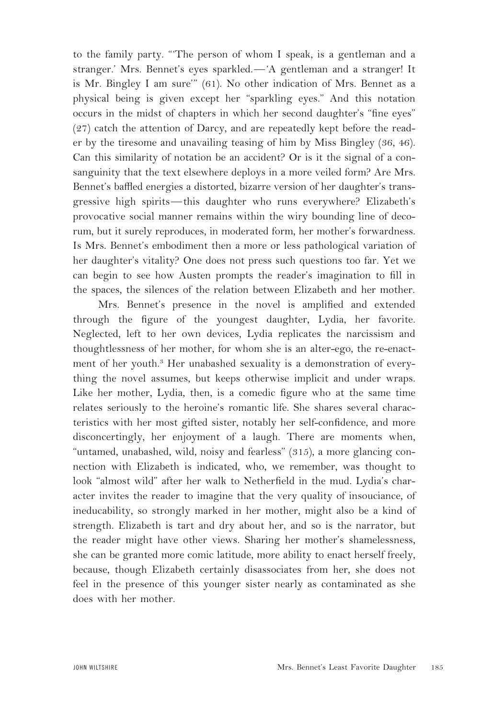to the family party. "'The person of whom I speak, is a gentleman and a stranger.' Mrs. Bennet's eyes sparkled.—'A gentleman and a stranger! It is Mr. Bingley I am sure'" (61). No other indication of Mrs. Bennet as a physical being is given except her "sparkling eyes." And this notation occurs in the midst of chapters in which her second daughter's "fine eyes" (27) catch the attention of Darcy, and are repeatedly kept before the reader by the tiresome and unavailing teasing of him by Miss Bingley (36, 46). Can this similarity of notation be an accident? Or is it the signal of a consanguinity that the text elsewhere deploys in a more veiled form? Are Mrs. Bennet's baffled energies a distorted, bizarre version of her daughter's transgressive high spirits—this daughter who runs everywhere? Elizabeth's provocative social manner remains within the wiry bounding line of decorum, but it surely reproduces, in moderated form, her mother's forwardness. Is Mrs. Bennet's embodiment then a more or less pathological variation of her daughter's vitality? One does not press such questions too far. Yet we can begin to see how Austen prompts the reader's imagination to fill in the spaces, the silences of the relation between Elizabeth and her mother.

Mrs. Bennet's presence in the novel is amplified and extended through the figure of the youngest daughter, Lydia, her favorite. Neglected, left to her own devices, Lydia replicates the narcissism and thoughtlessness of her mother, for whom she is an alter-ego, the re-enactment of her youth.<sup>3</sup> Her unabashed sexuality is a demonstration of everything the novel assumes, but keeps otherwise implicit and under wraps. Like her mother, Lydia, then, is a comedic figure who at the same time relates seriously to the heroine's romantic life. She shares several characteristics with her most gifted sister, notably her self-confidence, and more disconcertingly, her enjoyment of a laugh. There are moments when, "untamed, unabashed, wild, noisy and fearless" (315), a more glancing connection with Elizabeth is indicated, who, we remember, was thought to look "almost wild" after her walk to Netherfield in the mud. Lydia's character invites the reader to imagine that the very quality of insouciance, of ineducability, so strongly marked in her mother, might also be a kind of strength. Elizabeth is tart and dry about her, and so is the narrator, but the reader might have other views. Sharing her mother's shamelessness, she can be granted more comic latitude, more ability to enact herself freely, because, though Elizabeth certainly disassociates from her, she does not feel in the presence of this younger sister nearly as contaminated as she does with her mother.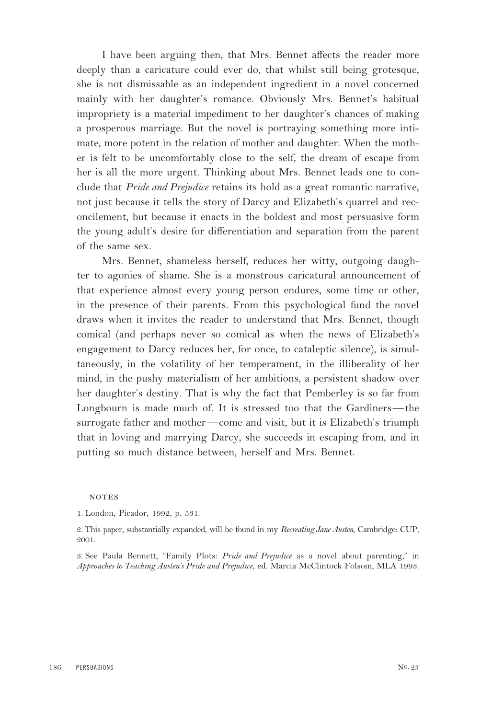I have been arguing then, that Mrs. Bennet affects the reader more deeply than a caricature could ever do, that whilst still being grotesque, she is not dismissable as an independent ingredient in a novel concerned mainly with her daughter's romance. Obviously Mrs. Bennet's habitual impropriety is a material impediment to her daughter's chances of making a prosperous marriage. But the novel is portraying something more intimate, more potent in the relation of mother and daughter. When the mother is felt to be uncomfortably close to the self, the dream of escape from her is all the more urgent. Thinking about Mrs. Bennet leads one to conclude that *Pride and Prejudice* retains its hold as a great romantic narrative, not just because it tells the story of Darcy and Elizabeth's quarrel and reconcilement, but because it enacts in the boldest and most persuasive form the young adult's desire for differentiation and separation from the parent of the same sex.

Mrs. Bennet, shameless herself, reduces her witty, outgoing daughter to agonies of shame. She is a monstrous caricatural announcement of that experience almost every young person endures, some time or other, in the presence of their parents. From this psychological fund the novel draws when it invites the reader to understand that Mrs. Bennet, though comical (and perhaps never so comical as when the news of Elizabeth's engagement to Darcy reduces her, for once, to cataleptic silence), is simultaneously, in the volatility of her temperament, in the illiberality of her mind, in the pushy materialism of her ambitions, a persistent shadow over her daughter's destiny. That is why the fact that Pemberley is so far from Longbourn is made much of. It is stressed too that the Gardiners—the surrogate father and mother—come and visit, but it is Elizabeth's triumph that in loving and marrying Darcy, she succeeds in escaping from, and in putting so much distance between, herself and Mrs. Bennet.

## **NOTES**

1. London, Picador, 1992, p. 531.

2. This paper, substantially expanded, will be found in my *Recreating Jane Austen*, Cambridge: CUP, 2001.

3. See Paula Bennett, "Family Plots: *Pride and Prejudice* as a novel about parenting," in *Approaches to Teaching Austen's Pride and Prejudice*, ed. Marcia McClintock Folsom, MLA 1993.